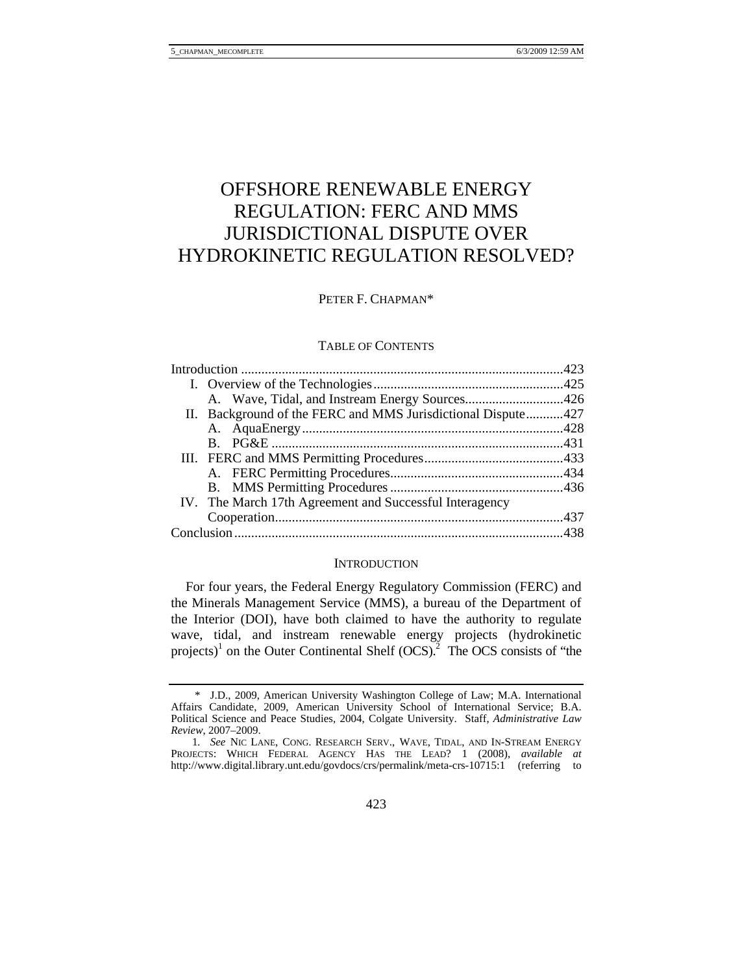# OFFSHORE RENEWABLE ENERGY REGULATION: FERC AND MMS JURISDICTIONAL DISPUTE OVER HYDROKINETIC REGULATION RESOLVED?

# PETER F. CHAPMAN\*

### TABLE OF CONTENTS

|  | II. Background of the FERC and MMS Jurisdictional Dispute427 |  |
|--|--------------------------------------------------------------|--|
|  |                                                              |  |
|  |                                                              |  |
|  |                                                              |  |
|  |                                                              |  |
|  |                                                              |  |
|  | IV. The March 17th Agreement and Successful Interagency      |  |
|  |                                                              |  |
|  |                                                              |  |
|  |                                                              |  |

#### **INTRODUCTION**

For four years, the Federal Energy Regulatory Commission (FERC) and the Minerals Management Service (MMS), a bureau of the Department of the Interior (DOI), have both claimed to have the authority to regulate wave, tidal, and instream renewable energy projects (hydrokinetic projects)<sup>1</sup> on the Outer Continental Shelf  $(OCS)<sup>2</sup>$ . The OCS consists of "the

 <sup>\*</sup> J.D., 2009, American University Washington College of Law; M.A. International Affairs Candidate, 2009, American University School of International Service; B.A. Political Science and Peace Studies, 2004, Colgate University. Staff, *Administrative Law Review*, 2007–2009.

<sup>1</sup>*. See* NIC LANE, CONG. RESEARCH SERV., WAVE, TIDAL, AND IN-STREAM ENERGY PROJECTS: WHICH FEDERAL AGENCY HAS THE LEAD? 1 (2008), *available at*  http://www.digital.library.unt.edu/govdocs/crs/permalink/meta-crs-10715:1 (referring to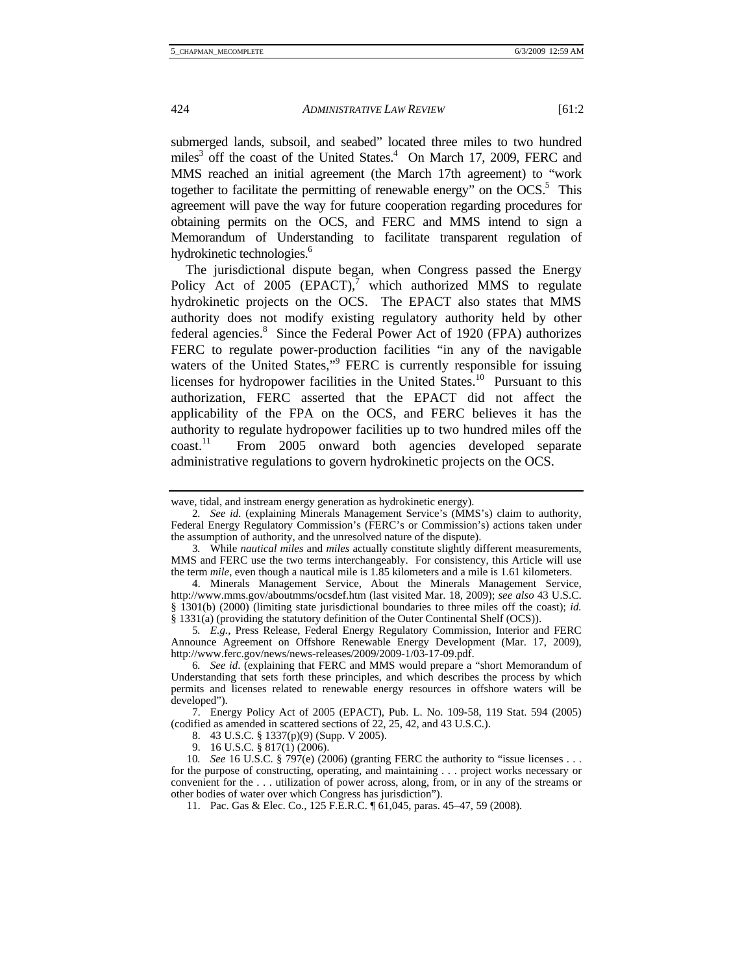submerged lands, subsoil, and seabed" located three miles to two hundred miles<sup>3</sup> off the coast of the United States.<sup>4</sup> On March 17, 2009, FERC and MMS reached an initial agreement (the March 17th agreement) to "work together to facilitate the permitting of renewable energy" on the  $OCS$ .<sup>5</sup> This agreement will pave the way for future cooperation regarding procedures for obtaining permits on the OCS, and FERC and MMS intend to sign a Memorandum of Understanding to facilitate transparent regulation of hydrokinetic technologies.<sup>6</sup>

The jurisdictional dispute began, when Congress passed the Energy Policy Act of 2005  $(EPACT)$ ,<sup>7</sup> which authorized MMS to regulate hydrokinetic projects on the OCS. The EPACT also states that MMS authority does not modify existing regulatory authority held by other federal agencies.<sup>8</sup> Since the Federal Power Act of 1920 (FPA) authorizes FERC to regulate power-production facilities "in any of the navigable waters of the United States,"<sup>9</sup> FERC is currently responsible for issuing licenses for hydropower facilities in the United States.<sup>10</sup> Pursuant to this authorization, FERC asserted that the EPACT did not affect the applicability of the FPA on the OCS, and FERC believes it has the authority to regulate hydropower facilities up to two hundred miles off the coast.11 From 2005 onward both agencies developed separate administrative regulations to govern hydrokinetic projects on the OCS.

9. 16 U.S.C. § 817(1) (2006).

wave, tidal, and instream energy generation as hydrokinetic energy).

<sup>2</sup>*. See id.* (explaining Minerals Management Service's (MMS's) claim to authority, Federal Energy Regulatory Commission's (FERC's or Commission's) actions taken under the assumption of authority, and the unresolved nature of the dispute).

<sup>3</sup>*.* While *nautical miles* and *miles* actually constitute slightly different measurements, MMS and FERC use the two terms interchangeably. For consistency, this Article will use the term *mile*, even though a nautical mile is 1.85 kilometers and a mile is 1.61 kilometers.

 <sup>4.</sup> Minerals Management Service, About the Minerals Management Service, http://www.mms.gov/aboutmms/ocsdef.htm (last visited Mar. 18, 2009); *see also* 43 U.S.C. § 1301(b) (2000) (limiting state jurisdictional boundaries to three miles off the coast); *id.* § 1331(a) (providing the statutory definition of the Outer Continental Shelf (OCS)).

<sup>5</sup>*. E.g.*, Press Release, Federal Energy Regulatory Commission, Interior and FERC Announce Agreement on Offshore Renewable Energy Development (Mar. 17, 2009), http://www.ferc.gov/news/news-releases/2009/2009-1/03-17-09.pdf.

<sup>6</sup>*. See id*. (explaining that FERC and MMS would prepare a "short Memorandum of Understanding that sets forth these principles, and which describes the process by which permits and licenses related to renewable energy resources in offshore waters will be developed").

 <sup>7.</sup> Energy Policy Act of 2005 (EPACT), Pub. L. No. 109-58, 119 Stat. 594 (2005) (codified as amended in scattered sections of 22, 25, 42, and 43 U.S.C.).

 <sup>8. 43</sup> U.S.C. § 1337(p)(9) (Supp. V 2005).

<sup>10</sup>*. See* 16 U.S.C. § 797(e) (2006) (granting FERC the authority to "issue licenses . . . for the purpose of constructing, operating, and maintaining . . . project works necessary or convenient for the . . . utilization of power across, along, from, or in any of the streams or

other bodies of water over which Congress has jurisdiction").

 <sup>11.</sup> Pac. Gas & Elec. Co., 125 F.E.R.C. ¶ 61,045, paras. 45–47, 59 (2008).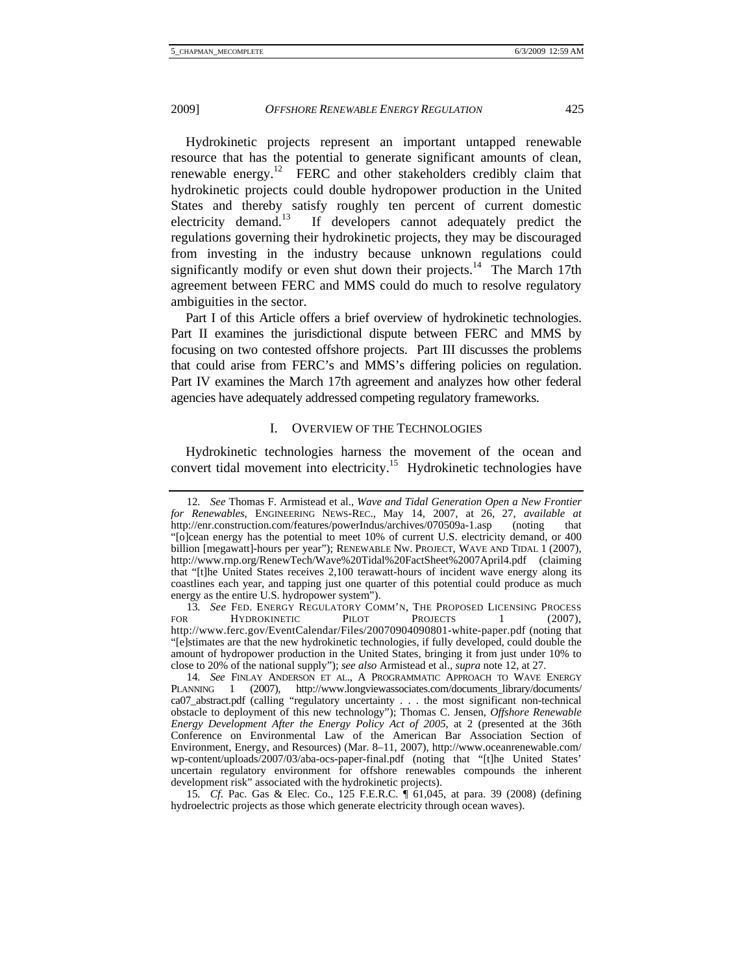Hydrokinetic projects represent an important untapped renewable resource that has the potential to generate significant amounts of clean, renewable energy.<sup>12</sup> FERC and other stakeholders credibly claim that hydrokinetic projects could double hydropower production in the United States and thereby satisfy roughly ten percent of current domestic<br>electricity demand.<sup>13</sup> If developers cannot adequately predict the If developers cannot adequately predict the regulations governing their hydrokinetic projects, they may be discouraged from investing in the industry because unknown regulations could significantly modify or even shut down their projects.<sup>14</sup> The March 17th agreement between FERC and MMS could do much to resolve regulatory ambiguities in the sector.

Part I of this Article offers a brief overview of hydrokinetic technologies. Part II examines the jurisdictional dispute between FERC and MMS by focusing on two contested offshore projects. Part III discusses the problems that could arise from FERC's and MMS's differing policies on regulation. Part IV examines the March 17th agreement and analyzes how other federal agencies have adequately addressed competing regulatory frameworks.

# I. OVERVIEW OF THE TECHNOLOGIES

Hydrokinetic technologies harness the movement of the ocean and convert tidal movement into electricity.<sup>15</sup> Hydrokinetic technologies have

<sup>12</sup>*. See* Thomas F. Armistead et al., *Wave and Tidal Generation Open a New Frontier for Renewables*, ENGINEERING NEWS-REC., May 14, 2007, at 26, 27, *available at* http://enr.construction.com/features/powerIndus/archives/070509a-1.asp (noting that "[o]cean energy has the potential to meet 10% of current U.S. electricity demand, or 400 billion [megawatt]-hours per year"); RENEWABLE NW. PROJECT, WAVE AND TIDAL 1 (2007), http://www.rnp.org/RenewTech/Wave%20Tidal%20FactSheet%2007April4.pdf (claiming that "[t]he United States receives 2,100 terawatt-hours of incident wave energy along its coastlines each year, and tapping just one quarter of this potential could produce as much energy as the entire U.S. hydropower system").

<sup>13</sup>*. See* FED. ENERGY REGULATORY COMM'N, THE PROPOSED LICENSING PROCESS FOR HYDROKINETIC PILOT PROJECTS 1 (2007), http://www.ferc.gov/EventCalendar/Files/20070904090801-white-paper.pdf (noting that "[e]stimates are that the new hydrokinetic technologies, if fully developed, could double the amount of hydropower production in the United States, bringing it from just under 10% to close to 20% of the national supply"); *see also* Armistead et al., *supra* note 12, at 27.

<sup>14</sup>*. See* FINLAY ANDERSON ET AL., A PROGRAMMATIC APPROACH TO WAVE ENERGY PLANNING 1 (2007), http://www.longviewassociates.com/documents\_library/documents/ ca07\_abstract.pdf (calling "regulatory uncertainty . . . the most significant non-technical obstacle to deployment of this new technology"); Thomas C. Jensen, *Offshore Renewable Energy Development After the Energy Policy Act of 2005*, at 2 (presented at the 36th Conference on Environmental Law of the American Bar Association Section of Environment, Energy, and Resources) (Mar. 8–11, 2007), http://www.oceanrenewable.com/ wp-content/uploads/2007/03/aba-ocs-paper-final.pdf (noting that "[t]he United States' uncertain regulatory environment for offshore renewables compounds the inherent development risk" associated with the hydrokinetic projects).

<sup>15</sup>*. Cf.* Pac. Gas & Elec. Co., 125 F.E.R.C. ¶ 61,045, at para. 39 (2008) (defining hydroelectric projects as those which generate electricity through ocean waves).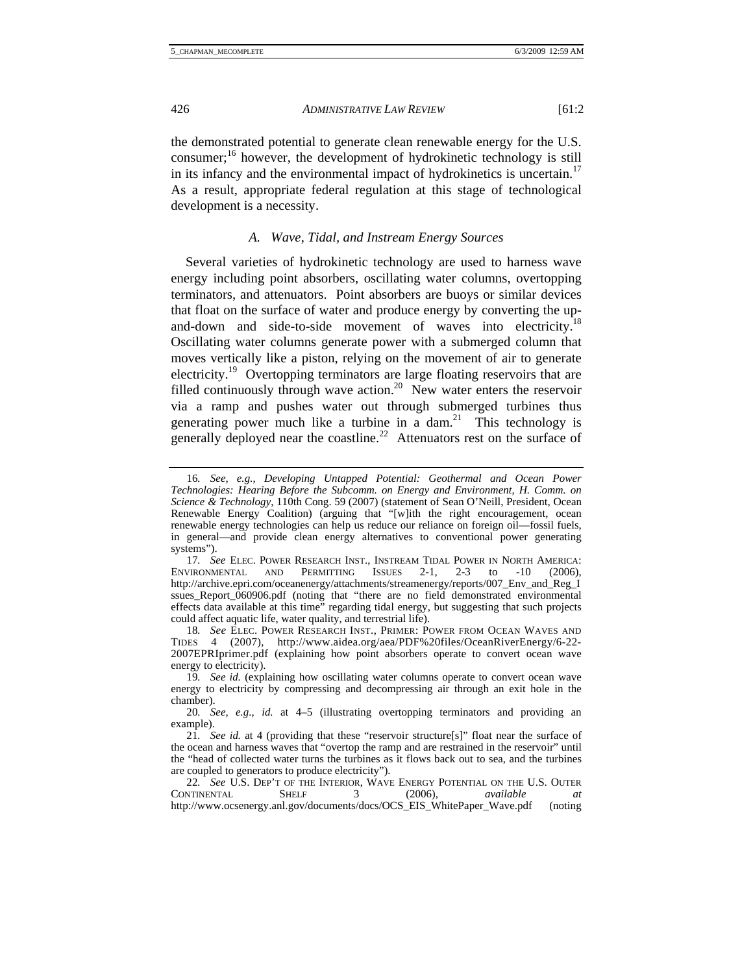the demonstrated potential to generate clean renewable energy for the U.S. consumer;16 however, the development of hydrokinetic technology is still in its infancy and the environmental impact of hydrokinetics is uncertain.<sup>17</sup> As a result, appropriate federal regulation at this stage of technological development is a necessity.

# *A. Wave, Tidal, and Instream Energy Sources*

Several varieties of hydrokinetic technology are used to harness wave energy including point absorbers, oscillating water columns, overtopping terminators, and attenuators. Point absorbers are buoys or similar devices that float on the surface of water and produce energy by converting the upand-down and side-to-side movement of waves into electricity.<sup>18</sup> Oscillating water columns generate power with a submerged column that moves vertically like a piston, relying on the movement of air to generate electricity.<sup>19</sup> Overtopping terminators are large floating reservoirs that are filled continuously through wave action.<sup>20</sup> New water enters the reservoir via a ramp and pushes water out through submerged turbines thus generating power much like a turbine in a dam.<sup>21</sup> This technology is generally deployed near the coastline.<sup>22</sup> Attenuators rest on the surface of

<sup>16</sup>*. See, e.g.*, *Developing Untapped Potential: Geothermal and Ocean Power Technologies: Hearing Before the Subcomm. on Energy and Environment, H. Comm. on Science & Technology*, 110th Cong. 59 (2007) (statement of Sean O'Neill, President, Ocean Renewable Energy Coalition) (arguing that "[w]ith the right encouragement, ocean renewable energy technologies can help us reduce our reliance on foreign oil—fossil fuels, in general—and provide clean energy alternatives to conventional power generating systems").

<sup>17</sup>*. See* Elec. Power Research Inst., Instream Tidal Power in North America:<br>
10 (2006), IND PERMITTING ISSUES 2-1, 2-3 to -10 (2006), ENVIRONMENTAL AND PERMITTING ISSUES 2-1, 2-3 to -10 (2006), http://archive.epri.com/oceanenergy/attachments/streamenergy/reports/007\_Env\_and\_Reg\_I ssues\_Report\_060906.pdf (noting that "there are no field demonstrated environmental effects data available at this time" regarding tidal energy, but suggesting that such projects could affect aquatic life, water quality, and terrestrial life).

<sup>18</sup>*. See* ELEC. POWER RESEARCH INST., PRIMER: POWER FROM OCEAN WAVES AND TIDES 4 (2007), http://www.aidea.org/aea/PDF%20files/OceanRiverEnergy/6-22- 2007EPRIprimer.pdf (explaining how point absorbers operate to convert ocean wave energy to electricity).

<sup>19</sup>*. See id.* (explaining how oscillating water columns operate to convert ocean wave energy to electricity by compressing and decompressing air through an exit hole in the chamber).

<sup>20</sup>*. See, e.g.*, *id.* at 4–5 (illustrating overtopping terminators and providing an example).

<sup>21</sup>*. See id.* at 4 (providing that these "reservoir structure[s]" float near the surface of the ocean and harness waves that "overtop the ramp and are restrained in the reservoir" until the "head of collected water turns the turbines as it flows back out to sea, and the turbines are coupled to generators to produce electricity").

<sup>22</sup>*. See* U.S. DEP'T OF THE INTERIOR, WAVE ENERGY POTENTIAL ON THE U.S. OUTER CONTINENTAL SHELF 3 (2006), *available at* http://www.ocsenergy.anl.gov/documents/docs/OCS\_EIS\_WhitePaper\_Wave.pdf (noting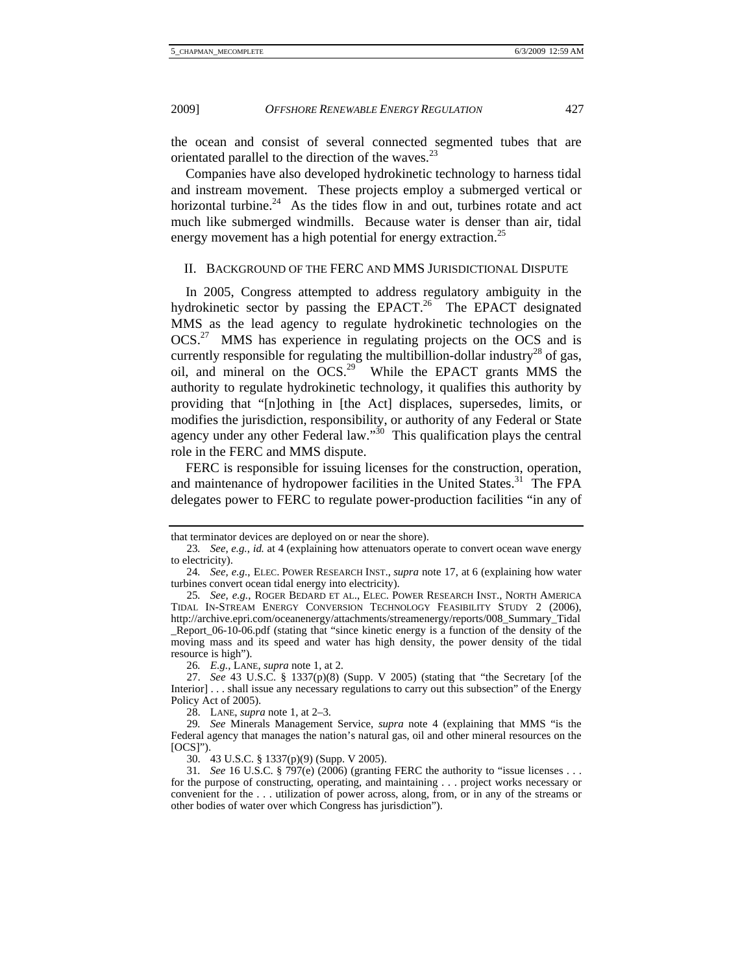the ocean and consist of several connected segmented tubes that are orientated parallel to the direction of the waves.<sup>23</sup>

Companies have also developed hydrokinetic technology to harness tidal and instream movement. These projects employ a submerged vertical or horizontal turbine. $24$  As the tides flow in and out, turbines rotate and act much like submerged windmills. Because water is denser than air, tidal energy movement has a high potential for energy extraction.<sup>25</sup>

# II. BACKGROUND OF THE FERC AND MMS JURISDICTIONAL DISPUTE

In 2005, Congress attempted to address regulatory ambiguity in the hydrokinetic sector by passing the EPACT.<sup>26</sup> The EPACT designated MMS as the lead agency to regulate hydrokinetic technologies on the OCS.27 MMS has experience in regulating projects on the OCS and is currently responsible for regulating the multibillion-dollar industry<sup>28</sup> of gas, oil, and mineral on the  $\overline{OCS}^{29}$  While the EPACT grants MMS the authority to regulate hydrokinetic technology, it qualifies this authority by providing that "[n]othing in [the Act] displaces, supersedes, limits, or modifies the jurisdiction, responsibility, or authority of any Federal or State agency under any other Federal law."<sup>30</sup> This qualification plays the central role in the FERC and MMS dispute.

FERC is responsible for issuing licenses for the construction, operation, and maintenance of hydropower facilities in the United States.<sup>31</sup> The FPA delegates power to FERC to regulate power-production facilities "in any of

that terminator devices are deployed on or near the shore).

<sup>23</sup>*. See, e.g.*, *id.* at 4 (explaining how attenuators operate to convert ocean wave energy to electricity).

<sup>24</sup>*. See, e.g.*, ELEC. POWER RESEARCH INST., *supra* note 17, at 6 (explaining how water turbines convert ocean tidal energy into electricity).

<sup>25</sup>*. See, e.g.*, ROGER BEDARD ET AL., ELEC. POWER RESEARCH INST., NORTH AMERICA TIDAL IN-STREAM ENERGY CONVERSION TECHNOLOGY FEASIBILITY STUDY 2 (2006), http://archive.epri.com/oceanenergy/attachments/streamenergy/reports/008\_Summary\_Tidal \_Report\_06-10-06.pdf (stating that "since kinetic energy is a function of the density of the moving mass and its speed and water has high density, the power density of the tidal resource is high").

<sup>26</sup>*. E.g.*, LANE, *supra* note 1, at 2.

 <sup>27.</sup> *See* 43 U.S.C. § 1337(p)(8) (Supp. V 2005) (stating that "the Secretary [of the Interior] . . . shall issue any necessary regulations to carry out this subsection" of the Energy Policy Act of 2005).

 <sup>28.</sup> LANE, *supra* note 1, at 2–3.

<sup>29</sup>*. See* Minerals Management Service, *supra* note 4 (explaining that MMS "is the Federal agency that manages the nation's natural gas, oil and other mineral resources on the [OCS]").

 <sup>30. 43</sup> U.S.C. § 1337(p)(9) (Supp. V 2005).

<sup>31</sup>*. See* 16 U.S.C. § 797(e) (2006) (granting FERC the authority to "issue licenses . . . for the purpose of constructing, operating, and maintaining . . . project works necessary or convenient for the . . . utilization of power across, along, from, or in any of the streams or other bodies of water over which Congress has jurisdiction").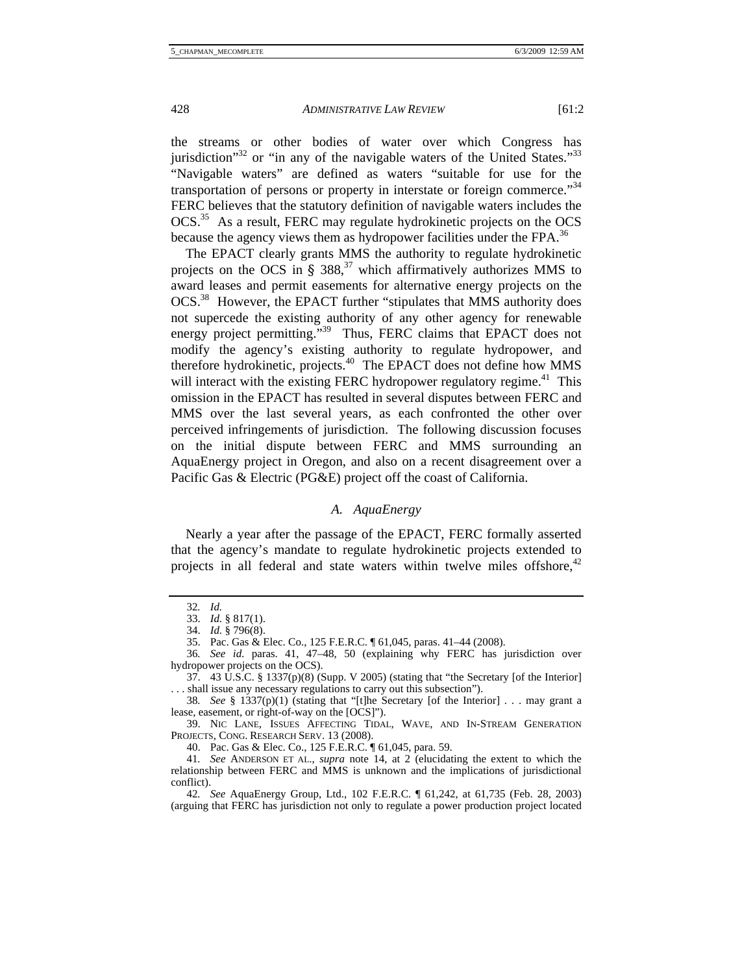the streams or other bodies of water over which Congress has jurisdiction<sup> $32$ </sup> or "in any of the navigable waters of the United States.<sup> $33$ </sup> "Navigable waters" are defined as waters "suitable for use for the transportation of persons or property in interstate or foreign commerce."<sup>34</sup> FERC believes that the statutory definition of navigable waters includes the OCS.<sup>35</sup> As a result, FERC may regulate hydrokinetic projects on the OCS because the agency views them as hydropower facilities under the FPA.<sup>36</sup>

The EPACT clearly grants MMS the authority to regulate hydrokinetic projects on the OCS in  $\S 388$ ,<sup>37</sup> which affirmatively authorizes MMS to award leases and permit easements for alternative energy projects on the OCS.38 However, the EPACT further "stipulates that MMS authority does not supercede the existing authority of any other agency for renewable energy project permitting."<sup>39</sup> Thus, FERC claims that EPACT does not modify the agency's existing authority to regulate hydropower, and therefore hydrokinetic, projects.<sup>40</sup> The EPACT does not define how MMS will interact with the existing FERC hydropower regulatory regime.<sup>41</sup> This omission in the EPACT has resulted in several disputes between FERC and MMS over the last several years, as each confronted the other over perceived infringements of jurisdiction. The following discussion focuses on the initial dispute between FERC and MMS surrounding an AquaEnergy project in Oregon, and also on a recent disagreement over a Pacific Gas & Electric (PG&E) project off the coast of California.

# *A. AquaEnergy*

Nearly a year after the passage of the EPACT, FERC formally asserted that the agency's mandate to regulate hydrokinetic projects extended to projects in all federal and state waters within twelve miles offshore,<sup>42</sup>

<sup>32</sup>*. Id.*

 <sup>33.</sup> *Id.* § 817(1).

 <sup>34.</sup> *Id.* § 796(8).

 <sup>35.</sup> Pac. Gas & Elec. Co., 125 F.E.R.C. ¶ 61,045, paras. 41–44 (2008).

<sup>36</sup>*. See id*. paras. 41, 47–48, 50 (explaining why FERC has jurisdiction over hydropower projects on the OCS).

<sup>37. 43</sup> U.S.C. § 1337(p)(8) (Supp. V 2005) (stating that "the Secretary [of the Interior] . . . shall issue any necessary regulations to carry out this subsection").

<sup>38</sup>*. See* § 1337(p)(1) (stating that "[t]he Secretary [of the Interior] . . . may grant a lease, easement, or right-of-way on the [OCS]").

 <sup>39.</sup> NIC LANE, ISSUES AFFECTING TIDAL, WAVE, AND IN-STREAM GENERATION PROJECTS, CONG. RESEARCH SERV. 13 (2008).

 <sup>40.</sup> Pac. Gas & Elec. Co., 125 F.E.R.C. ¶ 61,045, para. 59.

<sup>41</sup>*. See* ANDERSON ET AL., *supra* note 14, at 2 (elucidating the extent to which the relationship between FERC and MMS is unknown and the implications of jurisdictional conflict).

<sup>42</sup>*. See* AquaEnergy Group, Ltd., 102 F.E.R.C. ¶ 61,242, at 61,735 (Feb. 28, 2003) (arguing that FERC has jurisdiction not only to regulate a power production project located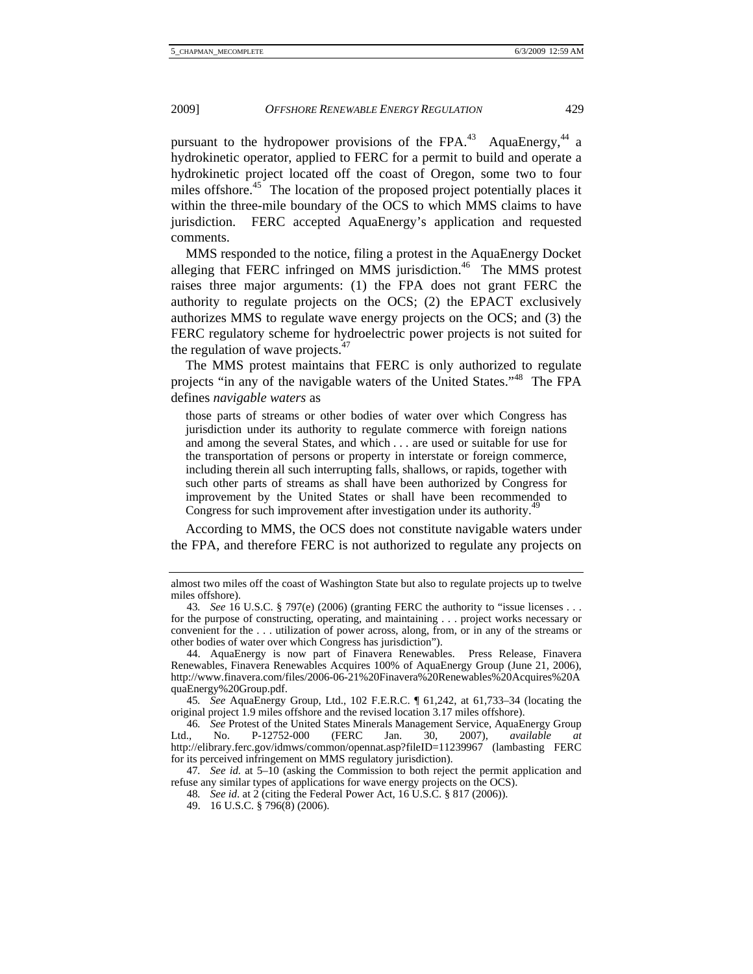pursuant to the hydropower provisions of the FPA.<sup>43</sup> AquaEnergy,<sup>44</sup> a hydrokinetic operator, applied to FERC for a permit to build and operate a hydrokinetic project located off the coast of Oregon, some two to four miles offshore.<sup>45</sup> The location of the proposed project potentially places it within the three-mile boundary of the OCS to which MMS claims to have jurisdiction. FERC accepted AquaEnergy's application and requested comments.

MMS responded to the notice, filing a protest in the AquaEnergy Docket alleging that FERC infringed on MMS jurisdiction.<sup>46</sup> The MMS protest raises three major arguments: (1) the FPA does not grant FERC the authority to regulate projects on the OCS; (2) the EPACT exclusively authorizes MMS to regulate wave energy projects on the OCS; and (3) the FERC regulatory scheme for hydroelectric power projects is not suited for the regulation of wave projects. $47$ 

The MMS protest maintains that FERC is only authorized to regulate projects "in any of the navigable waters of the United States."48 The FPA defines *navigable waters* as

those parts of streams or other bodies of water over which Congress has jurisdiction under its authority to regulate commerce with foreign nations and among the several States, and which . . . are used or suitable for use for the transportation of persons or property in interstate or foreign commerce, including therein all such interrupting falls, shallows, or rapids, together with such other parts of streams as shall have been authorized by Congress for improvement by the United States or shall have been recommended to Congress for such improvement after investigation under its authority.<sup>49</sup>

According to MMS, the OCS does not constitute navigable waters under the FPA, and therefore FERC is not authorized to regulate any projects on

45*. See* AquaEnergy Group, Ltd., 102 F.E.R.C. ¶ 61,242, at 61,733–34 (locating the original project 1.9 miles offshore and the revised location 3.17 miles offshore).

46*.* See Protest of the United States Minerals Management Service, AquaEnergy Group<br>
1. No. P-12752-000 (FERC Jan. 30, 2007), available at Ltd., No. P-12752-000 (FERC Jan. 30, 2007), *available at* http://elibrary.ferc.gov/idmws/common/opennat.asp?fileID=11239967 (lambasting FERC for its perceived infringement on MMS regulatory jurisdiction).

47*. See id.* at 5–10 (asking the Commission to both reject the permit application and refuse any similar types of applications for wave energy projects on the OCS).

almost two miles off the coast of Washington State but also to regulate projects up to twelve miles offshore).

<sup>43</sup>*. See* 16 U.S.C. § 797(e) (2006) (granting FERC the authority to "issue licenses . . . for the purpose of constructing, operating, and maintaining . . . project works necessary or convenient for the . . . utilization of power across, along, from, or in any of the streams or other bodies of water over which Congress has jurisdiction").

 <sup>44.</sup> AquaEnergy is now part of Finavera Renewables. Press Release, Finavera Renewables, Finavera Renewables Acquires 100% of AquaEnergy Group (June 21, 2006), http://www.finavera.com/files/2006-06-21%20Finavera%20Renewables%20Acquires%20A quaEnergy%20Group.pdf.

<sup>48</sup>*. See id*. at 2 (citing the Federal Power Act, 16 U.S.C. § 817 (2006)).

 <sup>49. 16</sup> U.S.C. § 796(8) (2006).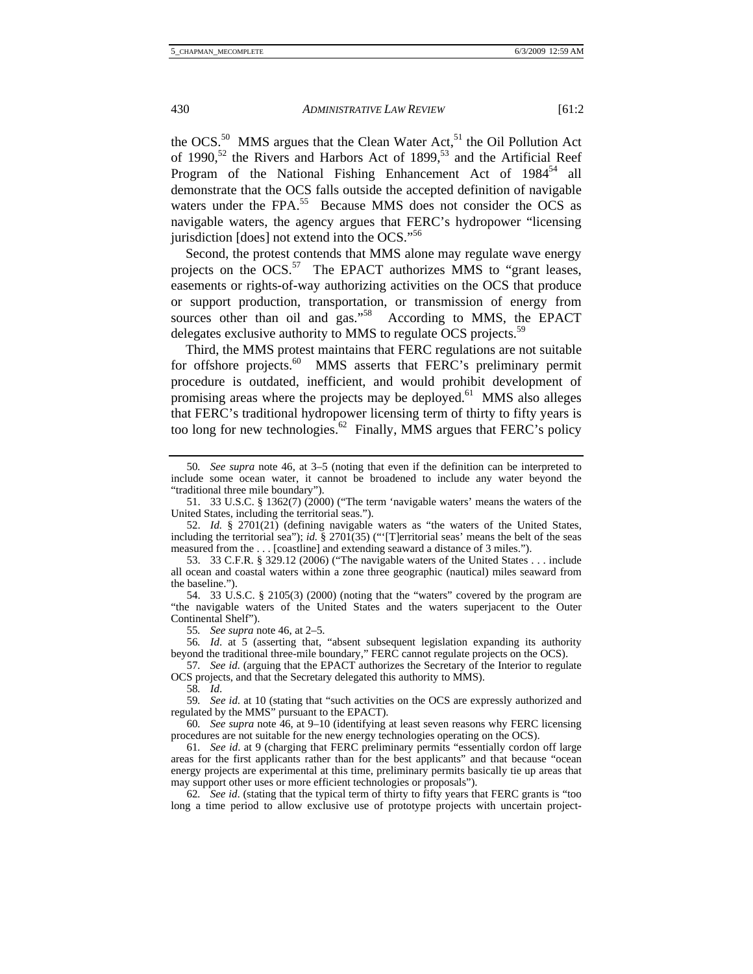the OCS.<sup>50</sup> MMS argues that the Clean Water Act,<sup>51</sup> the Oil Pollution Act of 1990,<sup>52</sup> the Rivers and Harbors Act of 1899,<sup>53</sup> and the Artificial Reef Program of the National Fishing Enhancement Act of 1984<sup>54</sup> all demonstrate that the OCS falls outside the accepted definition of navigable waters under the FPA.<sup>55</sup> Because MMS does not consider the OCS as navigable waters, the agency argues that FERC's hydropower "licensing jurisdiction [does] not extend into the OCS."<sup>56</sup>

Second, the protest contends that MMS alone may regulate wave energy projects on the OCS.<sup>57</sup> The EPACT authorizes MMS to "grant leases, easements or rights-of-way authorizing activities on the OCS that produce or support production, transportation, or transmission of energy from sources other than oil and gas."<sup>58</sup> According to MMS, the EPACT delegates exclusive authority to MMS to regulate OCS projects.<sup>59</sup>

Third, the MMS protest maintains that FERC regulations are not suitable for offshore projects.<sup>60</sup> MMS asserts that FERC's preliminary permit procedure is outdated, inefficient, and would prohibit development of promising areas where the projects may be deployed.<sup>61</sup> MMS also alleges that FERC's traditional hydropower licensing term of thirty to fifty years is too long for new technologies.<sup>62</sup> Finally, MMS argues that FERC's policy

<sup>50</sup>*. See supra* note 46, at 3–5 (noting that even if the definition can be interpreted to include some ocean water, it cannot be broadened to include any water beyond the "traditional three mile boundary").

 <sup>51. 33</sup> U.S.C. § 1362(7) (2000) ("The term 'navigable waters' means the waters of the United States, including the territorial seas.").

 <sup>52.</sup> *Id.* § 2701(21) (defining navigable waters as "the waters of the United States, including the territorial sea"); *id.* § 2701(35) ("'[T]erritorial seas' means the belt of the seas measured from the . . . [coastline] and extending seaward a distance of 3 miles.").

 <sup>53. 33</sup> C.F.R. § 329.12 (2006) ("The navigable waters of the United States . . . include all ocean and coastal waters within a zone three geographic (nautical) miles seaward from the baseline.").

 <sup>54. 33</sup> U.S.C. § 2105(3) (2000) (noting that the "waters" covered by the program are "the navigable waters of the United States and the waters superjacent to the Outer Continental Shelf").

<sup>55</sup>*. See supra* note 46, at 2–5.

<sup>56</sup>*. Id*. at 5 (asserting that, "absent subsequent legislation expanding its authority beyond the traditional three-mile boundary," FERC cannot regulate projects on the OCS).

<sup>57</sup>*. See id*. (arguing that the EPACT authorizes the Secretary of the Interior to regulate OCS projects, and that the Secretary delegated this authority to MMS).

<sup>58</sup>*. Id*.

<sup>59</sup>*. See id*. at 10 (stating that "such activities on the OCS are expressly authorized and regulated by the MMS" pursuant to the EPACT).

<sup>60</sup>*. See supra* note 46, at 9–10 (identifying at least seven reasons why FERC licensing procedures are not suitable for the new energy technologies operating on the OCS).

<sup>61</sup>*. See id*. at 9 (charging that FERC preliminary permits "essentially cordon off large areas for the first applicants rather than for the best applicants" and that because "ocean energy projects are experimental at this time, preliminary permits basically tie up areas that may support other uses or more efficient technologies or proposals").

<sup>62</sup>*. See id*. (stating that the typical term of thirty to fifty years that FERC grants is "too long a time period to allow exclusive use of prototype projects with uncertain project-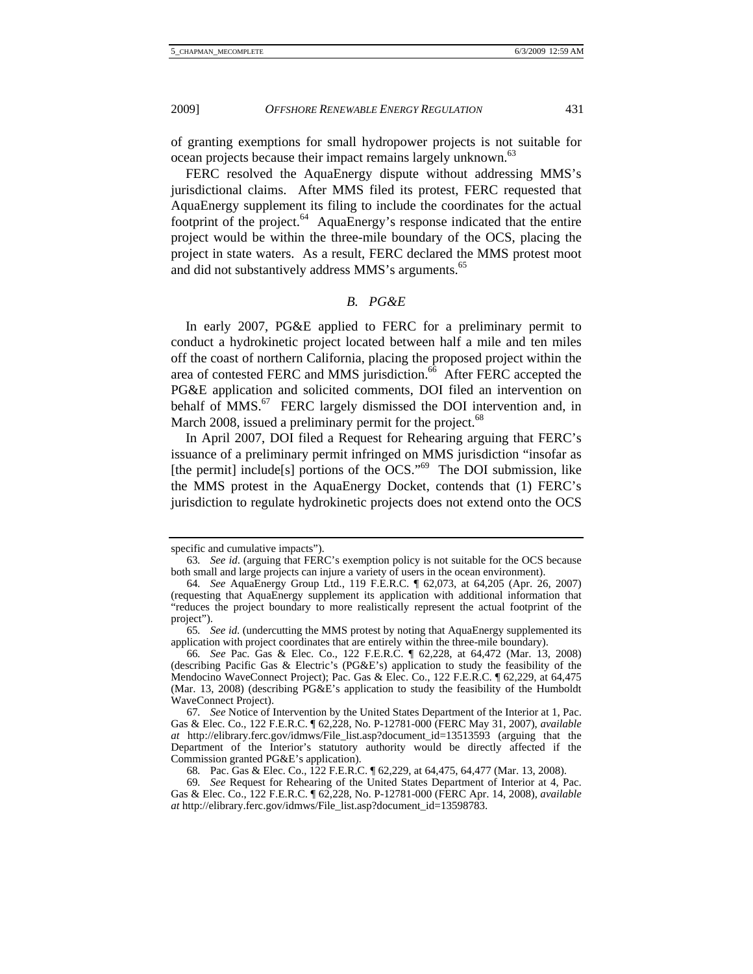of granting exemptions for small hydropower projects is not suitable for ocean projects because their impact remains largely unknown.<sup>63</sup>

FERC resolved the AquaEnergy dispute without addressing MMS's jurisdictional claims. After MMS filed its protest, FERC requested that AquaEnergy supplement its filing to include the coordinates for the actual footprint of the project.<sup>64</sup> AquaEnergy's response indicated that the entire project would be within the three-mile boundary of the OCS, placing the project in state waters. As a result, FERC declared the MMS protest moot and did not substantively address MMS's arguments.<sup>65</sup>

# *B. PG&E*

In early 2007, PG&E applied to FERC for a preliminary permit to conduct a hydrokinetic project located between half a mile and ten miles off the coast of northern California, placing the proposed project within the area of contested FERC and MMS jurisdiction. $66$  After FERC accepted the PG&E application and solicited comments, DOI filed an intervention on behalf of  $MMS$ <sup>67</sup> FERC largely dismissed the DOI intervention and, in March 2008, issued a preliminary permit for the project.<sup>68</sup>

In April 2007, DOI filed a Request for Rehearing arguing that FERC's issuance of a preliminary permit infringed on MMS jurisdiction "insofar as [the permit] include<sup>[s]</sup> portions of the OCS."<sup>69</sup> The DOI submission, like the MMS protest in the AquaEnergy Docket, contends that (1) FERC's jurisdiction to regulate hydrokinetic projects does not extend onto the OCS

specific and cumulative impacts").

<sup>63</sup>*. See id*. (arguing that FERC's exemption policy is not suitable for the OCS because both small and large projects can injure a variety of users in the ocean environment).

<sup>64</sup>*. See* AquaEnergy Group Ltd., 119 F.E.R.C. ¶ 62,073, at 64,205 (Apr. 26, 2007) (requesting that AquaEnergy supplement its application with additional information that "reduces the project boundary to more realistically represent the actual footprint of the project").

<sup>65</sup>*. See id*. (undercutting the MMS protest by noting that AquaEnergy supplemented its application with project coordinates that are entirely within the three-mile boundary).

<sup>66</sup>*. See* Pac. Gas & Elec. Co., 122 F.E.R.C. ¶ 62,228, at 64,472 (Mar. 13, 2008) (describing Pacific Gas & Electric's (PG&E's) application to study the feasibility of the Mendocino WaveConnect Project); Pac. Gas & Elec. Co., 122 F.E.R.C. ¶ 62,229, at 64,475 (Mar. 13, 2008) (describing PG&E's application to study the feasibility of the Humboldt WaveConnect Project).

<sup>67</sup>*. See* Notice of Intervention by the United States Department of the Interior at 1, Pac. Gas & Elec. Co., 122 F.E.R.C. ¶ 62,228, No. P-12781-000 (FERC May 31, 2007), *available at* http://elibrary.ferc.gov/idmws/File\_list.asp?document\_id=13513593 (arguing that the Department of the Interior's statutory authority would be directly affected if the Commission granted PG&E's application).

<sup>68</sup>*.* Pac. Gas & Elec. Co., 122 F.E.R.C. ¶ 62,229, at 64,475, 64,477 (Mar. 13, 2008).

<sup>69</sup>*. See* Request for Rehearing of the United States Department of Interior at 4, Pac. Gas & Elec. Co., 122 F.E.R.C. ¶ 62,228, No. P-12781-000 (FERC Apr. 14, 2008), *available at* http://elibrary.ferc.gov/idmws/File\_list.asp?document\_id=13598783.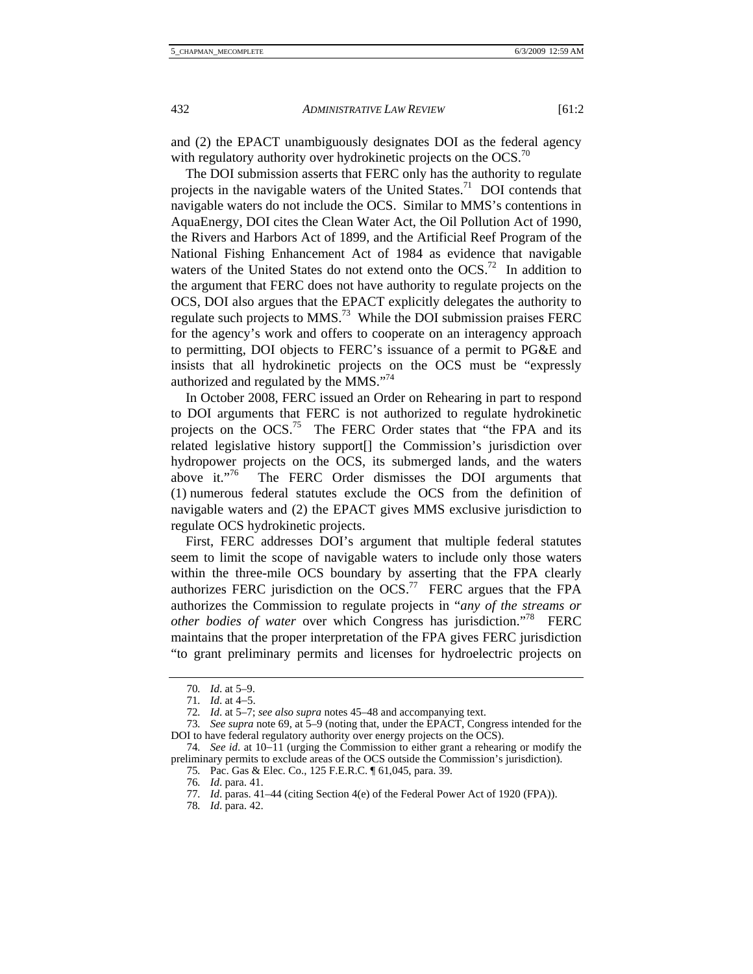and (2) the EPACT unambiguously designates DOI as the federal agency with regulatory authority over hydrokinetic projects on the OCS.<sup>70</sup>

The DOI submission asserts that FERC only has the authority to regulate projects in the navigable waters of the United States.<sup>71</sup> DOI contends that navigable waters do not include the OCS. Similar to MMS's contentions in AquaEnergy, DOI cites the Clean Water Act, the Oil Pollution Act of 1990, the Rivers and Harbors Act of 1899, and the Artificial Reef Program of the National Fishing Enhancement Act of 1984 as evidence that navigable waters of the United States do not extend onto the OCS.<sup>72</sup> In addition to the argument that FERC does not have authority to regulate projects on the OCS, DOI also argues that the EPACT explicitly delegates the authority to regulate such projects to MMS.<sup>73</sup> While the DOI submission praises FERC for the agency's work and offers to cooperate on an interagency approach to permitting, DOI objects to FERC's issuance of a permit to PG&E and insists that all hydrokinetic projects on the OCS must be "expressly authorized and regulated by the MMS."74

In October 2008, FERC issued an Order on Rehearing in part to respond to DOI arguments that FERC is not authorized to regulate hydrokinetic projects on the OCS.<sup>75</sup> The FERC Order states that "the FPA and its related legislative history support[] the Commission's jurisdiction over hydropower projects on the OCS, its submerged lands, and the waters above it."<sup>76</sup> The FERC Order dismisses the DOI arguments that (1) numerous federal statutes exclude the OCS from the definition of navigable waters and (2) the EPACT gives MMS exclusive jurisdiction to regulate OCS hydrokinetic projects.

First, FERC addresses DOI's argument that multiple federal statutes seem to limit the scope of navigable waters to include only those waters within the three-mile OCS boundary by asserting that the FPA clearly authorizes FERC jurisdiction on the  $OCS$ .<sup>77</sup> FERC argues that the FPA authorizes the Commission to regulate projects in "*any of the streams or other bodies of water* over which Congress has jurisdiction."<sup>78</sup> FERC maintains that the proper interpretation of the FPA gives FERC jurisdiction "to grant preliminary permits and licenses for hydroelectric projects on

<sup>70</sup>*. Id*. at 5–9.

<sup>71</sup>*. Id*. at 4−5.

<sup>72</sup>*. Id*. at 5–7; *see also supra* notes 45–48 and accompanying text.

<sup>73</sup>*. See supra* note 69, at 5–9 (noting that, under the EPACT, Congress intended for the DOI to have federal regulatory authority over energy projects on the OCS).

<sup>74</sup>*. See id*. at 10−11 (urging the Commission to either grant a rehearing or modify the preliminary permits to exclude areas of the OCS outside the Commission's jurisdiction).

<sup>75</sup>*.* Pac. Gas & Elec. Co., 125 F.E.R.C. ¶ 61,045, para. 39.

<sup>76</sup>*. Id*. para. 41.

<sup>77</sup>*. Id*. paras. 41–44 (citing Section 4(e) of the Federal Power Act of 1920 (FPA)).

<sup>78</sup>*. Id*. para. 42.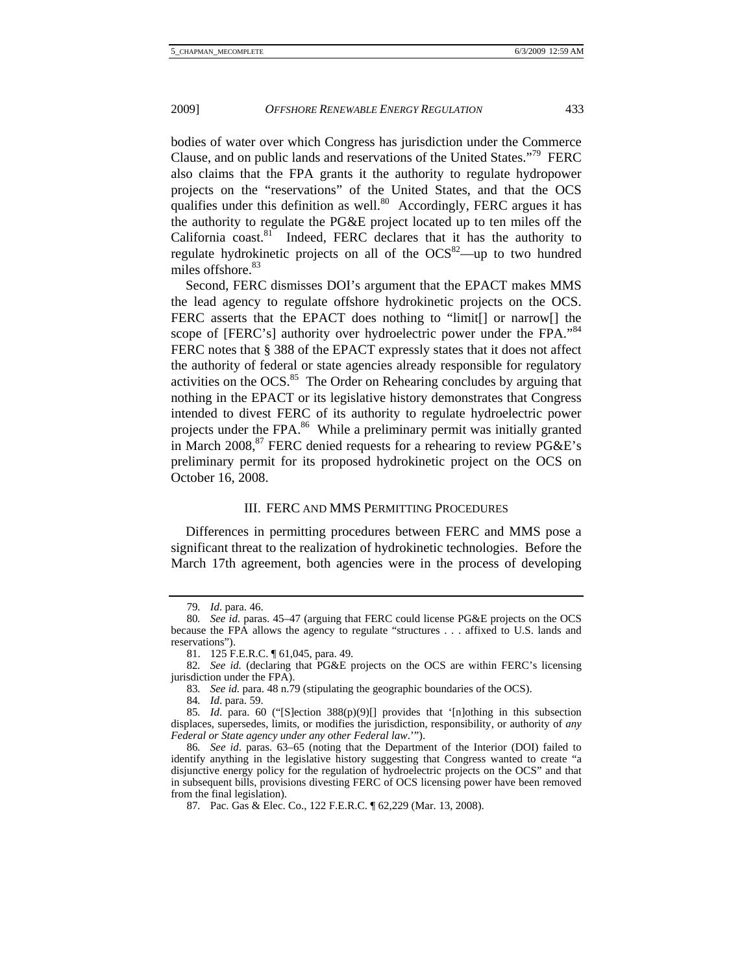bodies of water over which Congress has jurisdiction under the Commerce Clause, and on public lands and reservations of the United States."79 FERC also claims that the FPA grants it the authority to regulate hydropower projects on the "reservations" of the United States, and that the OCS qualifies under this definition as well. $\frac{80}{2}$  Accordingly, FERC argues it has the authority to regulate the PG&E project located up to ten miles off the California coast.<sup>81</sup> Indeed, FERC declares that it has the authority to regulate hydrokinetic projects on all of the  $OCS^{82}$ —up to two hundred miles offshore.<sup>83</sup>

Second, FERC dismisses DOI's argument that the EPACT makes MMS the lead agency to regulate offshore hydrokinetic projects on the OCS. FERC asserts that the EPACT does nothing to "limit[] or narrow[] the scope of [FERC's] authority over hydroelectric power under the FPA."<sup>84</sup> FERC notes that § 388 of the EPACT expressly states that it does not affect the authority of federal or state agencies already responsible for regulatory activities on the OCS.<sup>85</sup> The Order on Rehearing concludes by arguing that nothing in the EPACT or its legislative history demonstrates that Congress intended to divest FERC of its authority to regulate hydroelectric power projects under the FPA.<sup>86</sup> While a preliminary permit was initially granted in March 2008, $87$  FERC denied requests for a rehearing to review PG&E's preliminary permit for its proposed hydrokinetic project on the OCS on October 16, 2008.

# III. FERC AND MMS PERMITTING PROCEDURES

Differences in permitting procedures between FERC and MMS pose a significant threat to the realization of hydrokinetic technologies. Before the March 17th agreement, both agencies were in the process of developing

84*. Id*. para. 59.

<sup>79</sup>*. Id*. para. 46.

<sup>80</sup>*. See id*. paras. 45–47 (arguing that FERC could license PG&E projects on the OCS because the FPA allows the agency to regulate "structures . . . affixed to U.S. lands and reservations").

<sup>81. 125</sup> F.E.R.C. 161,045, para. 49.

<sup>82</sup>*. See id.* (declaring that PG&E projects on the OCS are within FERC's licensing jurisdiction under the FPA).

<sup>83</sup>*. See id.* para. 48 n.79 (stipulating the geographic boundaries of the OCS).

<sup>85</sup>*. Id*. para. 60 ("[S]ection 388(p)(9)[] provides that '[n]othing in this subsection displaces, supersedes, limits, or modifies the jurisdiction, responsibility, or authority of *any Federal or State agency under any other Federal law*.'").

<sup>86</sup>*. See id*. paras. 63–65 (noting that the Department of the Interior (DOI) failed to identify anything in the legislative history suggesting that Congress wanted to create "a disjunctive energy policy for the regulation of hydroelectric projects on the OCS" and that in subsequent bills, provisions divesting FERC of OCS licensing power have been removed from the final legislation).

<sup>87</sup>*.* Pac. Gas & Elec. Co., 122 F.E.R.C. ¶ 62,229 (Mar. 13, 2008).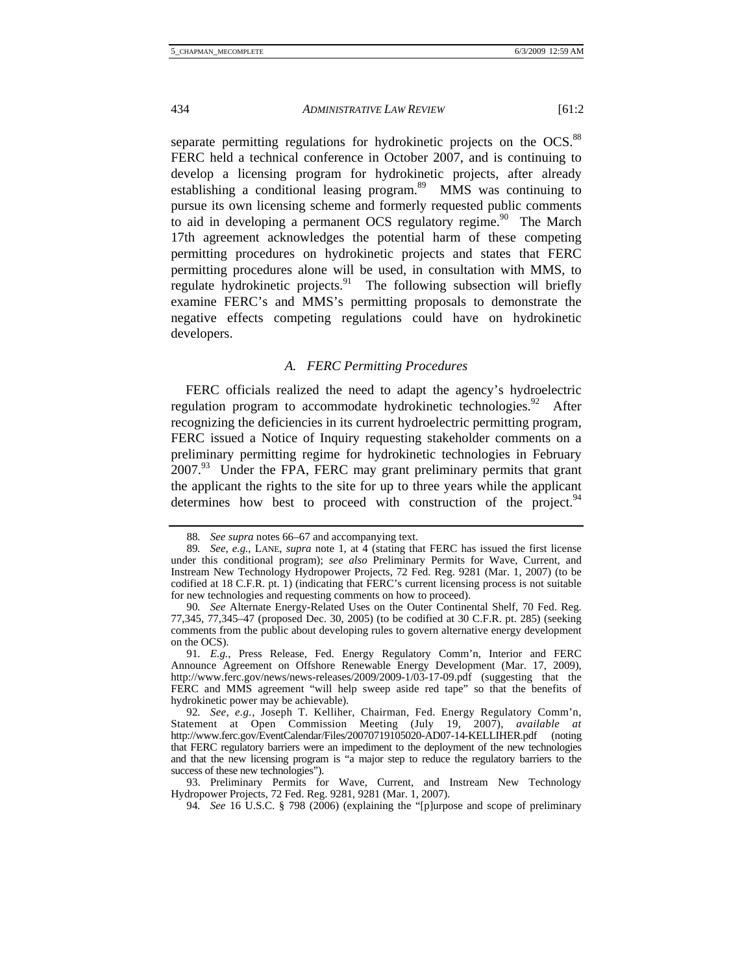separate permitting regulations for hydrokinetic projects on the OCS.<sup>88</sup> FERC held a technical conference in October 2007, and is continuing to develop a licensing program for hydrokinetic projects, after already establishing a conditional leasing program.<sup>89</sup> MMS was continuing to pursue its own licensing scheme and formerly requested public comments to aid in developing a permanent OCS regulatory regime.<sup>90</sup> The March 17th agreement acknowledges the potential harm of these competing permitting procedures on hydrokinetic projects and states that FERC permitting procedures alone will be used, in consultation with MMS, to regulate hydrokinetic projects. <sup>91</sup> The following subsection will briefly examine FERC's and MMS's permitting proposals to demonstrate the negative effects competing regulations could have on hydrokinetic developers.

# *A. FERC Permitting Procedures*

FERC officials realized the need to adapt the agency's hydroelectric regulation program to accommodate hydrokinetic technologies.<sup>92</sup> After recognizing the deficiencies in its current hydroelectric permitting program, FERC issued a Notice of Inquiry requesting stakeholder comments on a preliminary permitting regime for hydrokinetic technologies in February 2007.93 Under the FPA, FERC may grant preliminary permits that grant the applicant the rights to the site for up to three years while the applicant determines how best to proceed with construction of the project. $94$ 

<sup>88</sup>*. See supra* notes 66–67 and accompanying text.

<sup>89</sup>*. See, e.g.*, LANE, *supra* note 1, at 4 (stating that FERC has issued the first license under this conditional program); *see also* Preliminary Permits for Wave, Current, and Instream New Technology Hydropower Projects, 72 Fed. Reg. 9281 (Mar. 1, 2007) (to be codified at 18 C.F.R. pt. 1) (indicating that FERC's current licensing process is not suitable for new technologies and requesting comments on how to proceed).

<sup>90</sup>*. See* Alternate Energy-Related Uses on the Outer Continental Shelf, 70 Fed. Reg. 77,345, 77,345–47 (proposed Dec. 30, 2005) (to be codified at 30 C.F.R. pt. 285) (seeking comments from the public about developing rules to govern alternative energy development on the OCS).

<sup>91</sup>*. E.g.*, Press Release, Fed. Energy Regulatory Comm'n, Interior and FERC Announce Agreement on Offshore Renewable Energy Development (Mar. 17, 2009), http://www.ferc.gov/news/news-releases/2009/2009-1/03-17-09.pdf (suggesting that the FERC and MMS agreement "will help sweep aside red tape" so that the benefits of hydrokinetic power may be achievable).

<sup>92</sup>*. See, e.g.*, Joseph T. Kelliher, Chairman, Fed. Energy Regulatory Comm'n, Statement at Open Commission Meeting (July 19, 2007), *available at* http://www.ferc.gov/EventCalendar/Files/20070719105020-AD07-14-KELLIHER.pdf (noting that FERC regulatory barriers were an impediment to the deployment of the new technologies and that the new licensing program is "a major step to reduce the regulatory barriers to the success of these new technologies").

 <sup>93.</sup> Preliminary Permits for Wave, Current, and Instream New Technology Hydropower Projects, 72 Fed. Reg. 9281, 9281 (Mar. 1, 2007).

<sup>94</sup>*. See* 16 U.S.C. § 798 (2006) (explaining the "[p]urpose and scope of preliminary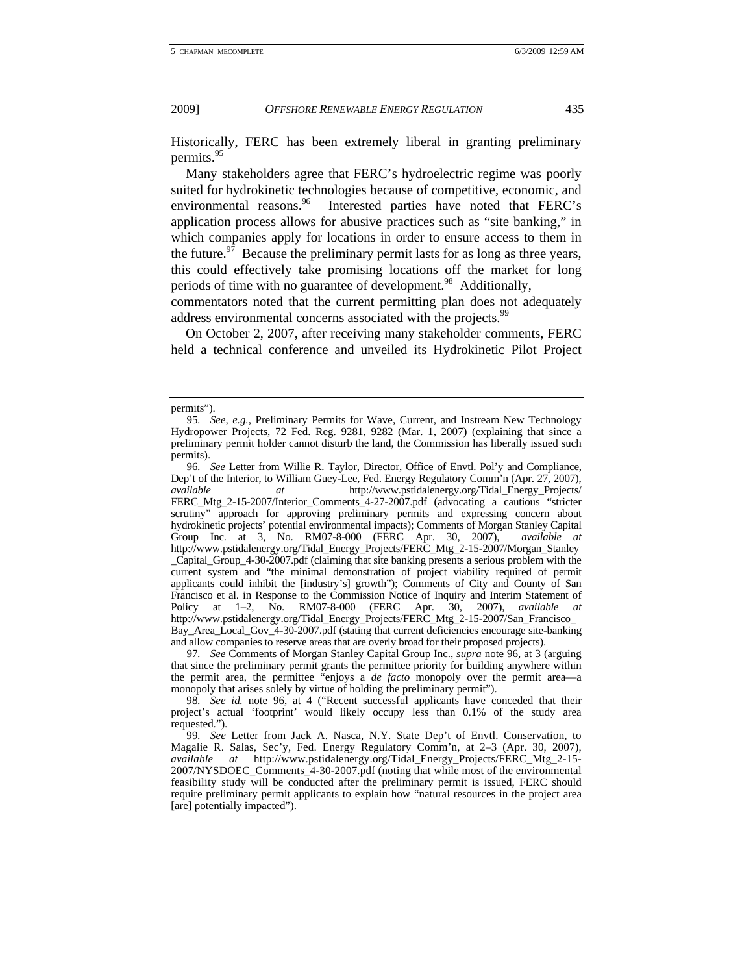Historically, FERC has been extremely liberal in granting preliminary permits.<sup>95</sup>

Many stakeholders agree that FERC's hydroelectric regime was poorly suited for hydrokinetic technologies because of competitive, economic, and environmental reasons.<sup>96</sup> Interested parties have noted that FERC's application process allows for abusive practices such as "site banking," in which companies apply for locations in order to ensure access to them in the future.<sup>97</sup> Because the preliminary permit lasts for as long as three years, this could effectively take promising locations off the market for long periods of time with no guarantee of development.<sup>98</sup> Additionally,

commentators noted that the current permitting plan does not adequately address environmental concerns associated with the projects.<sup>99</sup>

On October 2, 2007, after receiving many stakeholder comments, FERC held a technical conference and unveiled its Hydrokinetic Pilot Project

97*. See* Comments of Morgan Stanley Capital Group Inc., *supra* note 96, at 3 (arguing that since the preliminary permit grants the permittee priority for building anywhere within the permit area, the permittee "enjoys a *de facto* monopoly over the permit area—a monopoly that arises solely by virtue of holding the preliminary permit").

98*. See id.* note 96, at 4 ("Recent successful applicants have conceded that their project's actual 'footprint' would likely occupy less than 0.1% of the study area requested.").

permits").

<sup>95</sup>*. See, e.g.*, Preliminary Permits for Wave, Current, and Instream New Technology Hydropower Projects, 72 Fed. Reg. 9281, 9282 (Mar. 1, 2007) (explaining that since a preliminary permit holder cannot disturb the land, the Commission has liberally issued such permits).

<sup>96</sup>*. See* Letter from Willie R. Taylor, Director, Office of Envtl. Pol'y and Compliance, Dep't of the Interior, to William Guey-Lee, Fed. Energy Regulatory Comm'n (Apr. 27, 2007), *available at* http://www.pstidalenergy.org/Tidal\_Energy\_Projects/ FERC\_Mtg\_2-15-2007/Interior\_Comments\_4-27-2007.pdf (advocating a cautious "stricter scrutiny" approach for approving preliminary permits and expressing concern about hydrokinetic projects' potential environmental impacts); Comments of Morgan Stanley Capital Group Inc. at 3, No. RM07-8-000 (FERC Apr. 30, 2007), *available at* http://www.pstidalenergy.org/Tidal\_Energy\_Projects/FERC\_Mtg\_2-15-2007/Morgan\_Stanley \_Capital\_Group\_4-30-2007.pdf (claiming that site banking presents a serious problem with the current system and "the minimal demonstration of project viability required of permit applicants could inhibit the [industry's] growth"); Comments of City and County of San Francisco et al. in Response to the Commission Notice of Inquiry and Interim Statement of Policy at 1–2, No. RM07-8-000 (FERC Apr. 30, 2007), *available at* Policy at 1–2, No. RM07-8-000 (FERC Apr. 30, 2007), *available at* http://www.pstidalenergy.org/Tidal\_Energy\_Projects/FERC\_Mtg\_2-15-2007/San\_Francisco\_ Bay\_Area\_Local\_Gov\_4-30-2007.pdf (stating that current deficiencies encourage site-banking and allow companies to reserve areas that are overly broad for their proposed projects).

<sup>99</sup>*. See* Letter from Jack A. Nasca, N.Y. State Dep't of Envtl. Conservation, to Magalie R. Salas, Sec'y, Fed. Energy Regulatory Comm'n, at 2–3 (Apr. 30, 2007), *available at* http://www.pstidalenergy.org/Tidal\_Energy\_Projects/FERC\_Mtg\_2-15- 2007/NYSDOEC\_Comments\_4-30-2007.pdf (noting that while most of the environmental feasibility study will be conducted after the preliminary permit is issued, FERC should require preliminary permit applicants to explain how "natural resources in the project area [are] potentially impacted").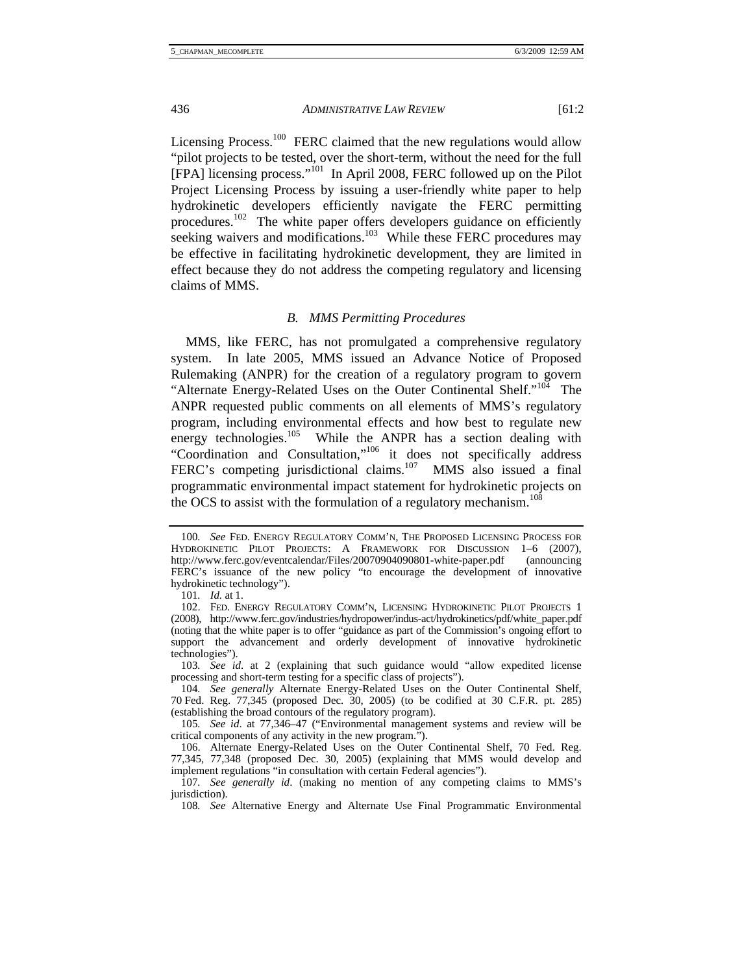Licensing Process.<sup>100</sup> FERC claimed that the new regulations would allow "pilot projects to be tested, over the short-term, without the need for the full [FPA] licensing process."101 In April 2008, FERC followed up on the Pilot Project Licensing Process by issuing a user-friendly white paper to help hydrokinetic developers efficiently navigate the FERC permitting procedures.<sup>102</sup> The white paper offers developers guidance on efficiently seeking waivers and modifications.<sup>103</sup> While these FERC procedures may be effective in facilitating hydrokinetic development, they are limited in effect because they do not address the competing regulatory and licensing claims of MMS.

# *B. MMS Permitting Procedures*

MMS, like FERC, has not promulgated a comprehensive regulatory system. In late 2005, MMS issued an Advance Notice of Proposed Rulemaking (ANPR) for the creation of a regulatory program to govern "Alternate Energy-Related Uses on the Outer Continental Shelf."<sup>104</sup> The ANPR requested public comments on all elements of MMS's regulatory program, including environmental effects and how best to regulate new energy technologies.<sup>105</sup> While the ANPR has a section dealing with "Coordination and Consultation,"106 it does not specifically address FERC's competing jurisdictional claims.<sup>107</sup> MMS also issued a final programmatic environmental impact statement for hydrokinetic projects on the OCS to assist with the formulation of a regulatory mechanism.<sup>108</sup>

<sup>100</sup>*. See* FED. ENERGY REGULATORY COMM'N, THE PROPOSED LICENSING PROCESS FOR HYDROKINETIC PILOT PROJECTS: A FRAMEWORK FOR DISCUSSION 1–6 (2007), http://www.ferc.gov/eventcalendar/Files/20070904090801-white-paper.pdf (announcing FERC's issuance of the new policy "to encourage the development of innovative hydrokinetic technology").

<sup>101</sup>*. Id.* at 1.

 <sup>102.</sup> FED. ENERGY REGULATORY COMM'N, LICENSING HYDROKINETIC PILOT PROJECTS 1 (2008), http://www.ferc.gov/industries/hydropower/indus-act/hydrokinetics/pdf/white\_paper.pdf (noting that the white paper is to offer "guidance as part of the Commission's ongoing effort to support the advancement and orderly development of innovative hydrokinetic technologies").

<sup>103</sup>*. See id*. at 2 (explaining that such guidance would "allow expedited license processing and short-term testing for a specific class of projects").

<sup>104</sup>*. See generally* Alternate Energy-Related Uses on the Outer Continental Shelf, 70 Fed. Reg. 77,345 (proposed Dec. 30, 2005) (to be codified at 30 C.F.R. pt. 285) (establishing the broad contours of the regulatory program).

<sup>105</sup>*. See id*. at 77,346–47 ("Environmental management systems and review will be critical components of any activity in the new program.").

 <sup>106.</sup> Alternate Energy-Related Uses on the Outer Continental Shelf, 70 Fed. Reg. 77,345, 77,348 (proposed Dec. 30, 2005) (explaining that MMS would develop and implement regulations "in consultation with certain Federal agencies").

<sup>107</sup>*. See generally id*. (making no mention of any competing claims to MMS's jurisdiction).

<sup>108</sup>*. See* Alternative Energy and Alternate Use Final Programmatic Environmental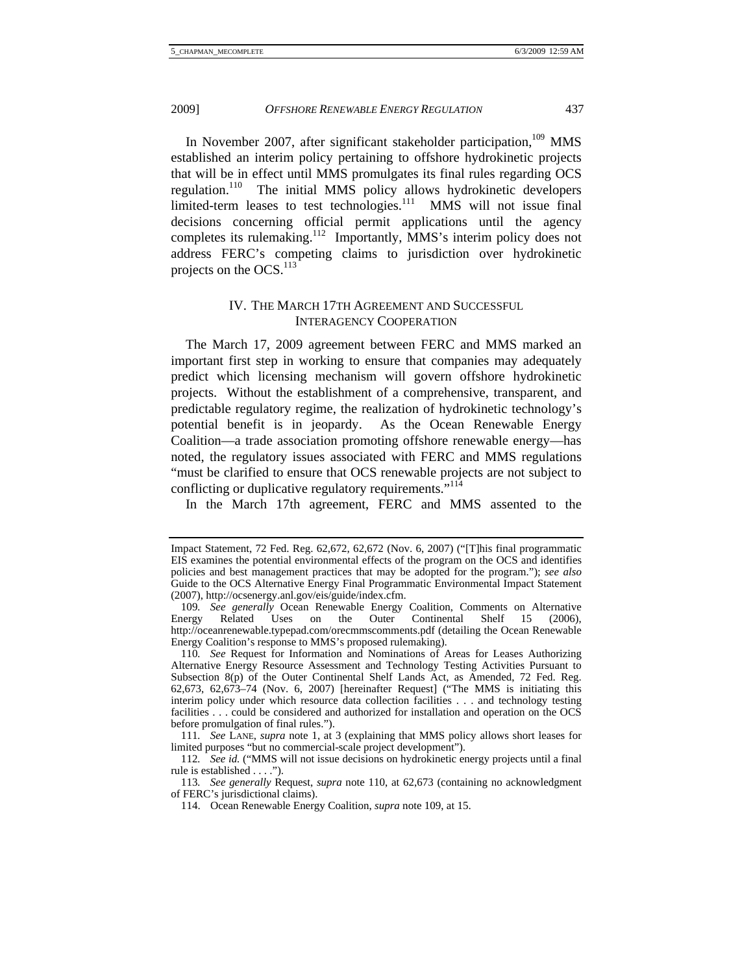In November 2007, after significant stakeholder participation,<sup>109</sup> MMS established an interim policy pertaining to offshore hydrokinetic projects that will be in effect until MMS promulgates its final rules regarding OCS regulation.<sup>110</sup> The initial MMS policy allows hydrokinetic developers limited-term leases to test technologies.<sup>111</sup> MMS will not issue final decisions concerning official permit applications until the agency completes its rulemaking.112 Importantly, MMS's interim policy does not address FERC's competing claims to jurisdiction over hydrokinetic projects on the OCS.<sup>113</sup>

# IV. THE MARCH 17TH AGREEMENT AND SUCCESSFUL INTERAGENCY COOPERATION

The March 17, 2009 agreement between FERC and MMS marked an important first step in working to ensure that companies may adequately predict which licensing mechanism will govern offshore hydrokinetic projects. Without the establishment of a comprehensive, transparent, and predictable regulatory regime, the realization of hydrokinetic technology's potential benefit is in jeopardy. As the Ocean Renewable Energy Coalition—a trade association promoting offshore renewable energy—has noted, the regulatory issues associated with FERC and MMS regulations "must be clarified to ensure that OCS renewable projects are not subject to conflicting or duplicative regulatory requirements."<sup>114</sup>

In the March 17th agreement, FERC and MMS assented to the

Impact Statement, 72 Fed. Reg. 62,672, 62,672 (Nov. 6, 2007) ("[T]his final programmatic EIS examines the potential environmental effects of the program on the OCS and identifies policies and best management practices that may be adopted for the program."); *see also* Guide to the OCS Alternative Energy Final Programmatic Environmental Impact Statement (2007), http://ocsenergy.anl.gov/eis/guide/index.cfm.

<sup>109</sup>*. See generally* Ocean Renewable Energy Coalition, Comments on Alternative Energy Related Uses on the Outer Continental Shelf 15 (2006), http://oceanrenewable.typepad.com/orecmmscomments.pdf (detailing the Ocean Renewable Energy Coalition's response to MMS's proposed rulemaking).

<sup>110</sup>*. See* Request for Information and Nominations of Areas for Leases Authorizing Alternative Energy Resource Assessment and Technology Testing Activities Pursuant to Subsection 8(p) of the Outer Continental Shelf Lands Act, as Amended, 72 Fed. Reg. 62,673, 62,673–74 (Nov. 6, 2007) [hereinafter Request] ("The MMS is initiating this interim policy under which resource data collection facilities . . . and technology testing facilities . . . could be considered and authorized for installation and operation on the OCS before promulgation of final rules.").

<sup>111</sup>*. See* LANE, *supra* note 1, at 3 (explaining that MMS policy allows short leases for limited purposes "but no commercial-scale project development").

<sup>112</sup>*. See id.* ("MMS will not issue decisions on hydrokinetic energy projects until a final rule is established . . . .").

<sup>113</sup>*. See generally* Request, *supra* note 110, at 62,673 (containing no acknowledgment of FERC's jurisdictional claims).

 <sup>114.</sup> Ocean Renewable Energy Coalition, *supra* note 109, at 15.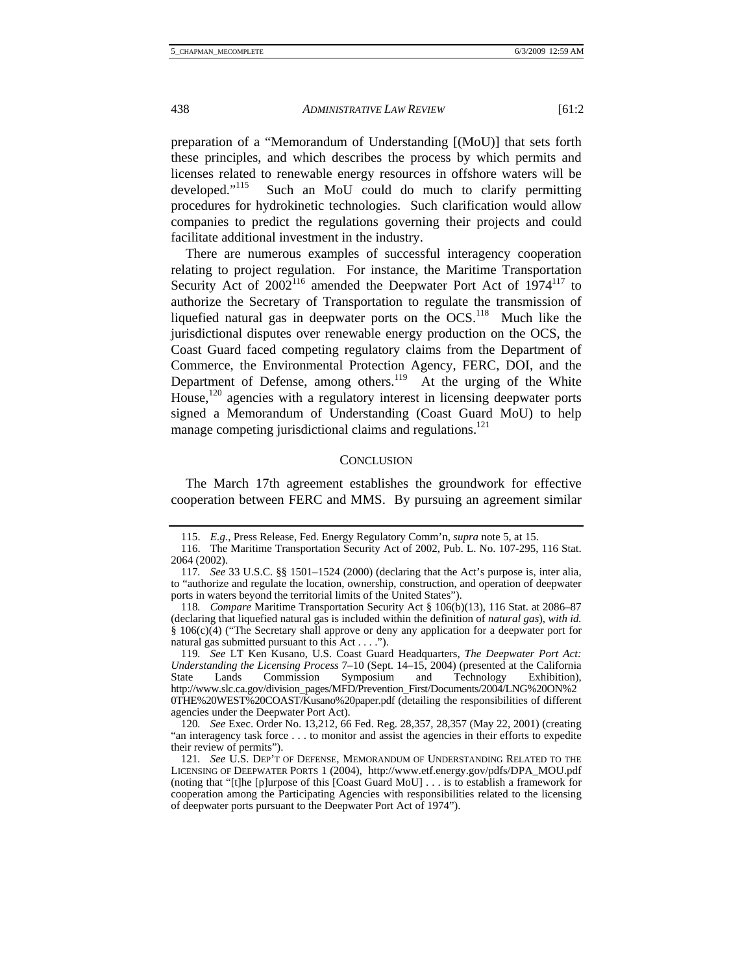preparation of a "Memorandum of Understanding [(MoU)] that sets forth these principles, and which describes the process by which permits and licenses related to renewable energy resources in offshore waters will be developed."<sup>115</sup> Such an MoU could do much to clarify permitting procedures for hydrokinetic technologies. Such clarification would allow companies to predict the regulations governing their projects and could facilitate additional investment in the industry.

There are numerous examples of successful interagency cooperation relating to project regulation. For instance, the Maritime Transportation Security Act of  $2002^{116}$  amended the Deepwater Port Act of  $1974^{117}$  to authorize the Secretary of Transportation to regulate the transmission of liquefied natural gas in deepwater ports on the  $OCS$ <sup>118</sup> Much like the jurisdictional disputes over renewable energy production on the OCS, the Coast Guard faced competing regulatory claims from the Department of Commerce, the Environmental Protection Agency, FERC, DOI, and the Department of Defense, among others.<sup>119</sup> At the urging of the White House,<sup>120</sup> agencies with a regulatory interest in licensing deepwater ports signed a Memorandum of Understanding (Coast Guard MoU) to help manage competing jurisdictional claims and regulations.<sup>121</sup>

#### **CONCLUSION**

The March 17th agreement establishes the groundwork for effective cooperation between FERC and MMS. By pursuing an agreement similar

 <sup>115.</sup> *E.g.*, Press Release, Fed. Energy Regulatory Comm'n, *supra* note 5, at 15.

 <sup>116.</sup> The Maritime Transportation Security Act of 2002, Pub. L. No. 107-295, 116 Stat. 2064 (2002).

<sup>117</sup>*. See* 33 U.S.C. §§ 1501–1524 (2000) (declaring that the Act's purpose is, inter alia, to "authorize and regulate the location, ownership, construction, and operation of deepwater ports in waters beyond the territorial limits of the United States").

<sup>118</sup>*. Compare* Maritime Transportation Security Act § 106(b)(13), 116 Stat. at 2086–87 (declaring that liquefied natural gas is included within the definition of *natural gas*), *with id.* § 106(c)(4) ("The Secretary shall approve or deny any application for a deepwater port for natural gas submitted pursuant to this Act . . . .").

<sup>119</sup>*. See* LT Ken Kusano, U.S. Coast Guard Headquarters, *The Deepwater Port Act: Understanding the Licensing Process* 7–10 (Sept. 14–15, 2004) (presented at the California State Lands Commission Symposium and Technology Exhibition), http://www.slc.ca.gov/division\_pages/MFD/Prevention\_First/Documents/2004/LNG%20ON%2 0THE%20WEST%20COAST/Kusano%20paper.pdf (detailing the responsibilities of different agencies under the Deepwater Port Act).

<sup>120</sup>*. See* Exec. Order No. 13,212, 66 Fed. Reg. 28,357, 28,357 (May 22, 2001) (creating "an interagency task force . . . to monitor and assist the agencies in their efforts to expedite their review of permits").

<sup>121</sup>*. See* U.S. DEP'T OF DEFENSE, MEMORANDUM OF UNDERSTANDING RELATED TO THE LICENSING OF DEEPWATER PORTS 1 (2004), http://www.etf.energy.gov/pdfs/DPA\_MOU.pdf (noting that "[t]he [p]urpose of this [Coast Guard MoU] . . . is to establish a framework for cooperation among the Participating Agencies with responsibilities related to the licensing of deepwater ports pursuant to the Deepwater Port Act of 1974").